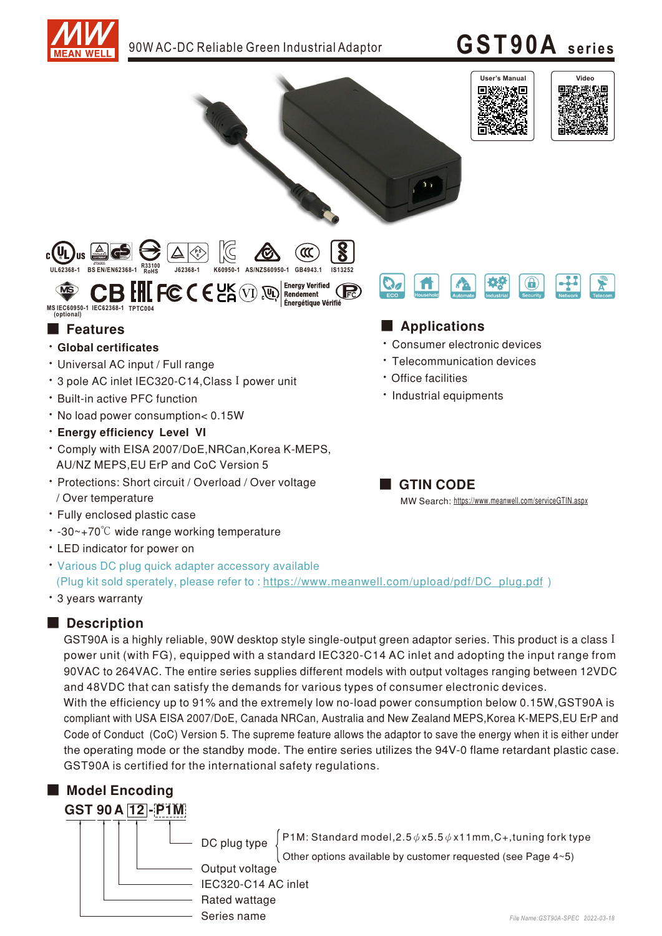

# **GST90A seri es**



GST90A is a highly reliable, 90W desktop style single-output green adaptor series. This product is a class I power unit (with FG), equipped with a standard IEC320-C14 AC inlet and adopting the input range from 90VAC to 264VAC. The entire series supplies different models with output voltages ranging between 12VDC and 48VDC that can satisfy the demands for various types of consumer electronic devices. With the efficiency up to 91% and the extremely low no-load power consumption below 0.15W, GST90A is compliant with USA EISA 2007/DoE, Canada NRCan, Australia and New Zealand MEPS, Korea K-MEPS, EU ErP and Code of Conduct (CoC) Version 5. The supreme feature allows the adaptor to save the energy when it is either under the operating mode or the standby mode. The entire series utilizes the 94V-0 flame retardant plastic case.



GST90A is certified for the international safety regulations.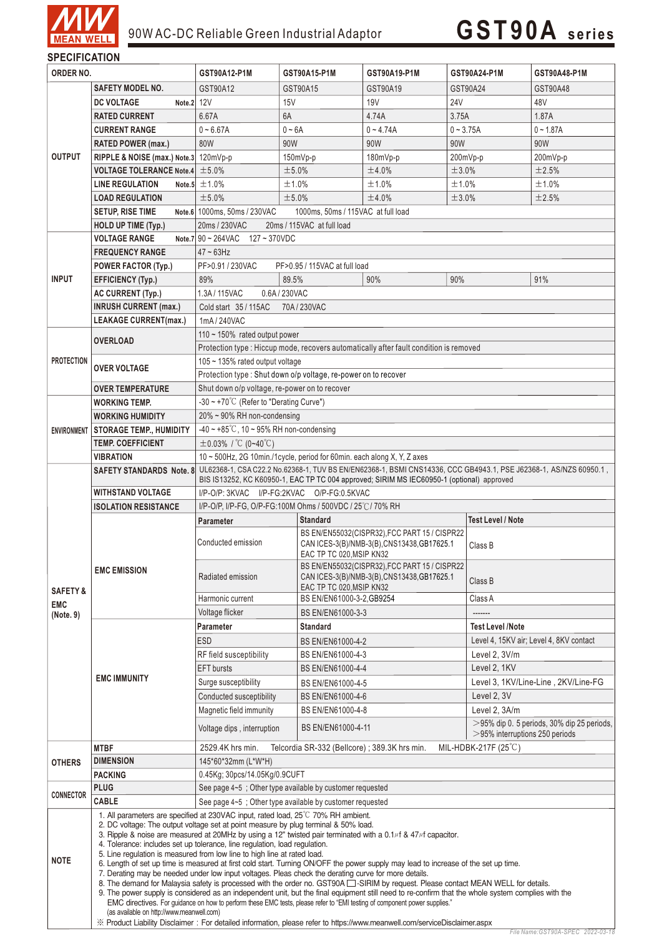

*File Name:GST90A-SPEC 2022-03-18*

| <b>SPECIFICATION</b> |                                                                                                                           |                                                                                                                                                                                                                                                                                  |                                             |                                                                                              |                 |                                            |  |  |  |  |
|----------------------|---------------------------------------------------------------------------------------------------------------------------|----------------------------------------------------------------------------------------------------------------------------------------------------------------------------------------------------------------------------------------------------------------------------------|---------------------------------------------|----------------------------------------------------------------------------------------------|-----------------|--------------------------------------------|--|--|--|--|
| ORDER NO.            |                                                                                                                           | GST90A12-P1M                                                                                                                                                                                                                                                                     | GST90A15-P1M                                | GST90A19-P1M                                                                                 | GST90A24-P1M    | GST90A48-P1M                               |  |  |  |  |
|                      | SAFETY MODEL NO.                                                                                                          | GST90A12                                                                                                                                                                                                                                                                         | GST90A15                                    | GST90A19                                                                                     | GST90A24        | GST90A48                                   |  |  |  |  |
|                      | <b>DC VOLTAGE</b><br>Note.2 12V                                                                                           |                                                                                                                                                                                                                                                                                  | 15V                                         | <b>19V</b>                                                                                   | 24 <sub>V</sub> | 48V                                        |  |  |  |  |
|                      | <b>RATED CURRENT</b>                                                                                                      | 6.67A                                                                                                                                                                                                                                                                            | 6A                                          | 4.74A                                                                                        | 3.75A           | 1.87A                                      |  |  |  |  |
|                      | <b>CURRENT RANGE</b>                                                                                                      | $0 - 6.67A$                                                                                                                                                                                                                                                                      | $0 - 6A$                                    | $0 - 4.74A$                                                                                  | $0 - 3.75A$     | $0 - 1.87A$                                |  |  |  |  |
| <b>OUTPUT</b>        |                                                                                                                           | 80W                                                                                                                                                                                                                                                                              | 90W                                         | 90W                                                                                          | 90W             | 90W                                        |  |  |  |  |
|                      | <b>RATED POWER (max.)</b>                                                                                                 |                                                                                                                                                                                                                                                                                  |                                             |                                                                                              |                 |                                            |  |  |  |  |
|                      | RIPPLE & NOISE (max.) Note.3 120mVp-p                                                                                     |                                                                                                                                                                                                                                                                                  | $150mVp-p$                                  | $180mVp-p$                                                                                   | 200mVp-p        | 200mVp-p                                   |  |  |  |  |
|                      | <b>VOLTAGE TOLERANCE Note.4</b>                                                                                           | ±5.0%                                                                                                                                                                                                                                                                            | ±5.0%                                       | ±4.0%                                                                                        | ±3.0%           | ±2.5%                                      |  |  |  |  |
|                      | <b>LINE REGULATION</b>                                                                                                    | Note.5 $\pm$ 1.0%                                                                                                                                                                                                                                                                | ±1.0%                                       | ±1.0%                                                                                        | ±1.0%           | ±1.0%                                      |  |  |  |  |
|                      | <b>LOAD REGULATION</b>                                                                                                    | ±5.0%                                                                                                                                                                                                                                                                            | ±5.0%<br>±4.0%<br>±3.0%<br>±2.5%            |                                                                                              |                 |                                            |  |  |  |  |
|                      | <b>SETUP, RISE TIME</b>                                                                                                   | Note.6 1000ms, 50ms / 230VAC<br>1000ms, 50ms / 115VAC at full load                                                                                                                                                                                                               |                                             |                                                                                              |                 |                                            |  |  |  |  |
|                      | <b>HOLD UP TIME (Typ.)</b>                                                                                                | 20ms / 230VAC<br>20ms / 115VAC at full load                                                                                                                                                                                                                                      |                                             |                                                                                              |                 |                                            |  |  |  |  |
|                      | <b>VOLTAGE RANGE</b>                                                                                                      | Note.7 $90 \sim 264$ VAC $127 \sim 370$ VDC                                                                                                                                                                                                                                      |                                             |                                                                                              |                 |                                            |  |  |  |  |
|                      | <b>FREQUENCY RANGE</b>                                                                                                    | $47 - 63$ Hz                                                                                                                                                                                                                                                                     |                                             |                                                                                              |                 |                                            |  |  |  |  |
|                      | <b>POWER FACTOR (Typ.)</b>                                                                                                | PF>0.91 / 230VAC                                                                                                                                                                                                                                                                 |                                             | PF>0.95 / 115VAC at full load                                                                |                 |                                            |  |  |  |  |
| <b>INPUT</b>         | <b>EFFICIENCY (Typ.)</b>                                                                                                  | 89%                                                                                                                                                                                                                                                                              | 89.5%                                       | 90%                                                                                          | 90%             | 91%                                        |  |  |  |  |
|                      | AC CURRENT (Typ.)                                                                                                         | 1.3A/115VAC                                                                                                                                                                                                                                                                      | 0.6A / 230VAC                               |                                                                                              |                 |                                            |  |  |  |  |
|                      | <b>INRUSH CURRENT (max.)</b>                                                                                              | Cold start 35 / 115AC                                                                                                                                                                                                                                                            | 70A/230VAC                                  |                                                                                              |                 |                                            |  |  |  |  |
|                      | <b>LEAKAGE CURRENT(max.)</b>                                                                                              | 1mA/240VAC                                                                                                                                                                                                                                                                       |                                             |                                                                                              |                 |                                            |  |  |  |  |
|                      | <b>OVERLOAD</b>                                                                                                           | 110 $\sim$ 150% rated output power                                                                                                                                                                                                                                               |                                             |                                                                                              |                 |                                            |  |  |  |  |
|                      |                                                                                                                           | Protection type : Hiccup mode, recovers automatically after fault condition is removed                                                                                                                                                                                           |                                             |                                                                                              |                 |                                            |  |  |  |  |
| <b>PROTECTION</b>    |                                                                                                                           | 105 $\sim$ 135% rated output voltage                                                                                                                                                                                                                                             |                                             |                                                                                              |                 |                                            |  |  |  |  |
|                      | <b>OVER VOLTAGE</b>                                                                                                       | Protection type : Shut down o/p voltage, re-power on to recover                                                                                                                                                                                                                  |                                             |                                                                                              |                 |                                            |  |  |  |  |
|                      | <b>OVER TEMPERATURE</b>                                                                                                   | Shut down o/p voltage, re-power on to recover                                                                                                                                                                                                                                    |                                             |                                                                                              |                 |                                            |  |  |  |  |
|                      | <b>WORKING TEMP.</b>                                                                                                      | $-30 \sim +70^{\circ}$ C (Refer to "Derating Curve")                                                                                                                                                                                                                             |                                             |                                                                                              |                 |                                            |  |  |  |  |
|                      | <b>WORKING HUMIDITY</b>                                                                                                   | $20\% \sim 90\%$ RH non-condensing                                                                                                                                                                                                                                               |                                             |                                                                                              |                 |                                            |  |  |  |  |
| <b>ENVIRONMENT</b>   | <b>STORAGE TEMP., HUMIDITY</b>                                                                                            | $-40 \sim +85^{\circ}$ C, 10 ~ 95% RH non-condensing                                                                                                                                                                                                                             |                                             |                                                                                              |                 |                                            |  |  |  |  |
|                      | <b>TEMP. COEFFICIENT</b>                                                                                                  | $\pm$ 0.03% / °C (0~40°C)                                                                                                                                                                                                                                                        |                                             |                                                                                              |                 |                                            |  |  |  |  |
|                      | <b>VIBRATION</b>                                                                                                          | 10 ~ 500Hz, 2G 10min./1cycle, period for 60min. each along X, Y, Z axes                                                                                                                                                                                                          |                                             |                                                                                              |                 |                                            |  |  |  |  |
|                      | <b>SAFETY STANDARDS Note. 8</b>                                                                                           | UL62368-1, CSA C22.2 No.62368-1, TUV BS EN/EN62368-1, BSMI CNS14336, CCC GB4943.1, PSE J62368-1, AS/NZS 60950.1,<br>BIS IS13252, KC K60950-1, EAC TP TC 004 approved; SIRIM MS IEC60950-1 (optional) approved                                                                    |                                             |                                                                                              |                 |                                            |  |  |  |  |
|                      |                                                                                                                           |                                                                                                                                                                                                                                                                                  |                                             |                                                                                              |                 |                                            |  |  |  |  |
|                      | WITHSTAND VOLTAGE                                                                                                         | I/P-O/P: 3KVAC I/P-FG:2KVAC O/P-FG:0.5KVAC                                                                                                                                                                                                                                       |                                             |                                                                                              |                 |                                            |  |  |  |  |
|                      | <b>ISOLATION RESISTANCE</b>                                                                                               | I/P-O/P, I/P-FG, O/P-FG:100M Ohms / 500VDC / 25°C / 70% RH                                                                                                                                                                                                                       |                                             |                                                                                              |                 |                                            |  |  |  |  |
|                      | <b>EMC EMISSION</b>                                                                                                       | Parameter                                                                                                                                                                                                                                                                        | <b>Standard</b><br><b>Test Level / Note</b> |                                                                                              |                 |                                            |  |  |  |  |
|                      |                                                                                                                           | Conducted emission                                                                                                                                                                                                                                                               |                                             | BS EN/EN55032(CISPR32), FCC PART 15 / CISPR22<br>CAN ICES-3(B)/NMB-3(B), CNS13438, GB17625.1 | Class B         |                                            |  |  |  |  |
|                      |                                                                                                                           |                                                                                                                                                                                                                                                                                  | EAC TP TC 020, MSIP KN32                    |                                                                                              |                 |                                            |  |  |  |  |
|                      |                                                                                                                           | Radiated emission                                                                                                                                                                                                                                                                |                                             | BS EN/EN55032(CISPR32), FCC PART 15 / CISPR22<br>CAN ICES-3(B)/NMB-3(B), CNS13438, GB17625.1 |                 |                                            |  |  |  |  |
| <b>SAFETY &amp;</b>  |                                                                                                                           |                                                                                                                                                                                                                                                                                  | EAC TP TC 020, MSIP KN32                    |                                                                                              |                 | Class B                                    |  |  |  |  |
| <b>EMC</b>           |                                                                                                                           | Harmonic current                                                                                                                                                                                                                                                                 | BS EN/EN61000-3-2, GB9254                   |                                                                                              | Class A         |                                            |  |  |  |  |
| (Note. 9)            |                                                                                                                           | Voltage flicker                                                                                                                                                                                                                                                                  | BS EN/EN61000-3-3                           |                                                                                              | -------         |                                            |  |  |  |  |
|                      | <b>EMC IMMUNITY</b>                                                                                                       | <b>Parameter</b>                                                                                                                                                                                                                                                                 | <b>Standard</b>                             |                                                                                              |                 | <b>Test Level /Note</b>                    |  |  |  |  |
|                      |                                                                                                                           | <b>ESD</b>                                                                                                                                                                                                                                                                       |                                             | BS EN/EN61000-4-2                                                                            |                 | Level 4, 15KV air; Level 4, 8KV contact    |  |  |  |  |
|                      |                                                                                                                           | RF field susceptibility                                                                                                                                                                                                                                                          |                                             | BS EN/EN61000-4-3                                                                            |                 | Level 2, 3V/m                              |  |  |  |  |
|                      |                                                                                                                           | <b>EFT</b> bursts                                                                                                                                                                                                                                                                | BS EN/EN61000-4-4                           |                                                                                              |                 | Level 2, 1KV                               |  |  |  |  |
|                      |                                                                                                                           | Surge susceptibility                                                                                                                                                                                                                                                             |                                             | BS EN/EN61000-4-5                                                                            |                 | Level 3, 1KV/Line-Line, 2KV/Line-FG        |  |  |  |  |
|                      |                                                                                                                           | Conducted susceptibility                                                                                                                                                                                                                                                         | BS EN/EN61000-4-6                           |                                                                                              | Level 2, 3V     |                                            |  |  |  |  |
|                      |                                                                                                                           | Magnetic field immunity                                                                                                                                                                                                                                                          | BS EN/EN61000-4-8                           |                                                                                              |                 | Level 2, 3A/m                              |  |  |  |  |
|                      |                                                                                                                           |                                                                                                                                                                                                                                                                                  |                                             |                                                                                              |                 | >95% dip 0. 5 periods, 30% dip 25 periods, |  |  |  |  |
|                      |                                                                                                                           | Voltage dips, interruption                                                                                                                                                                                                                                                       |                                             | BS EN/EN61000-4-11<br>$>$ 95% interruptions 250 periods                                      |                 |                                            |  |  |  |  |
|                      | <b>MTBF</b>                                                                                                               | 2529.4K hrs min.<br>MIL-HDBK-217F (25°C)<br>Telcordia SR-332 (Bellcore); 389.3K hrs min.                                                                                                                                                                                         |                                             |                                                                                              |                 |                                            |  |  |  |  |
| <b>OTHERS</b>        | <b>DIMENSION</b>                                                                                                          | 145*60*32mm (L*W*H)                                                                                                                                                                                                                                                              |                                             |                                                                                              |                 |                                            |  |  |  |  |
|                      | <b>PACKING</b>                                                                                                            | 0.45Kg; 30pcs/14.05Kg/0.9CUFT                                                                                                                                                                                                                                                    |                                             |                                                                                              |                 |                                            |  |  |  |  |
| <b>CONNECTOR</b>     | <b>PLUG</b>                                                                                                               | See page 4~5 ; Other type available by customer requested                                                                                                                                                                                                                        |                                             |                                                                                              |                 |                                            |  |  |  |  |
|                      | CABLE                                                                                                                     | See page 4~5; Other type available by customer requested                                                                                                                                                                                                                         |                                             |                                                                                              |                 |                                            |  |  |  |  |
| <b>NOTE</b>          |                                                                                                                           | 1. All parameters are specified at 230VAC input, rated load, 25°C 70% RH ambient.                                                                                                                                                                                                |                                             |                                                                                              |                 |                                            |  |  |  |  |
|                      |                                                                                                                           | 2. DC voltage: The output voltage set at point measure by plug terminal & 50% load.<br>3. Ripple & noise are measured at 20MHz by using a 12" twisted pair terminated with a 0.1 $\mu$ f & 47 $\mu$ f capacitor.                                                                 |                                             |                                                                                              |                 |                                            |  |  |  |  |
|                      |                                                                                                                           | 4. Tolerance: includes set up tolerance, line regulation, load regulation.                                                                                                                                                                                                       |                                             |                                                                                              |                 |                                            |  |  |  |  |
|                      |                                                                                                                           | 5. Line regulation is measured from low line to high line at rated load.<br>6. Length of set up time is measured at first cold start. Turning ON/OFF the power supply may lead to increase of the set up time.                                                                   |                                             |                                                                                              |                 |                                            |  |  |  |  |
|                      |                                                                                                                           | 7. Derating may be needed under low input voltages. Pleas check the derating curve for more details.                                                                                                                                                                             |                                             |                                                                                              |                 |                                            |  |  |  |  |
|                      |                                                                                                                           | 8. The demand for Malaysia safety is processed with the order no. GST90A $\Box$ -SIRIM by request. Please contact MEAN WELL for details.                                                                                                                                         |                                             |                                                                                              |                 |                                            |  |  |  |  |
|                      |                                                                                                                           | 9. The power supply is considered as an independent unit, but the final equipment still need to re-confirm that the whole system complies with the<br>EMC directives. For guidance on how to perform these EMC tests, please refer to "EMI testing of component power supplies." |                                             |                                                                                              |                 |                                            |  |  |  |  |
|                      | (as available on http://www.meanwell.com)                                                                                 |                                                                                                                                                                                                                                                                                  |                                             |                                                                                              |                 |                                            |  |  |  |  |
|                      | ※ Product Liability Disclaimer: For detailed information, please refer to https://www.meanwell.com/serviceDisclaimer.aspx |                                                                                                                                                                                                                                                                                  |                                             |                                                                                              |                 |                                            |  |  |  |  |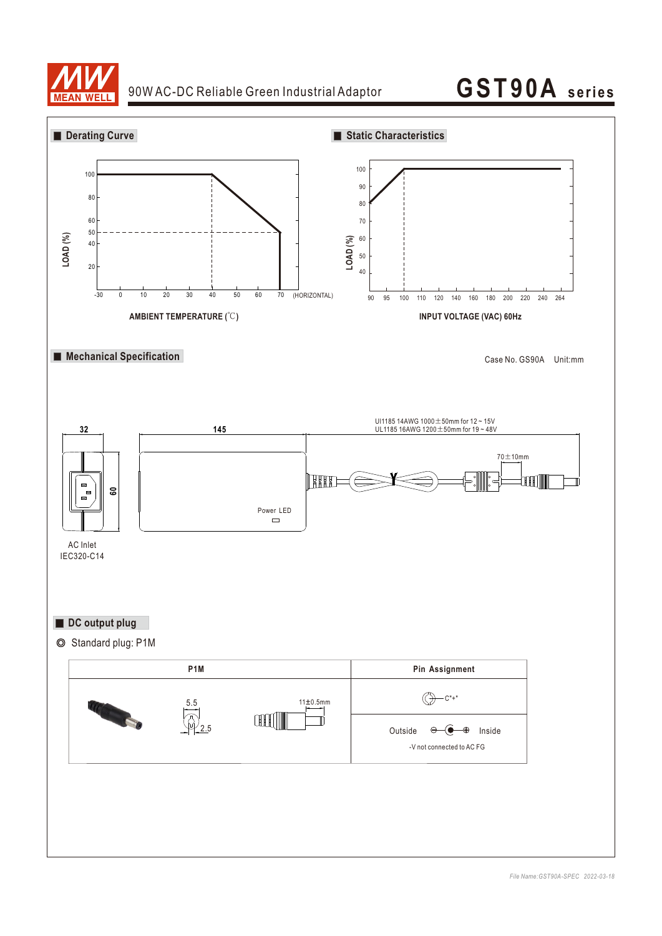

#### 90W AC-DC Reliable Green Industrial Adaptor

### **GST90A seri es**

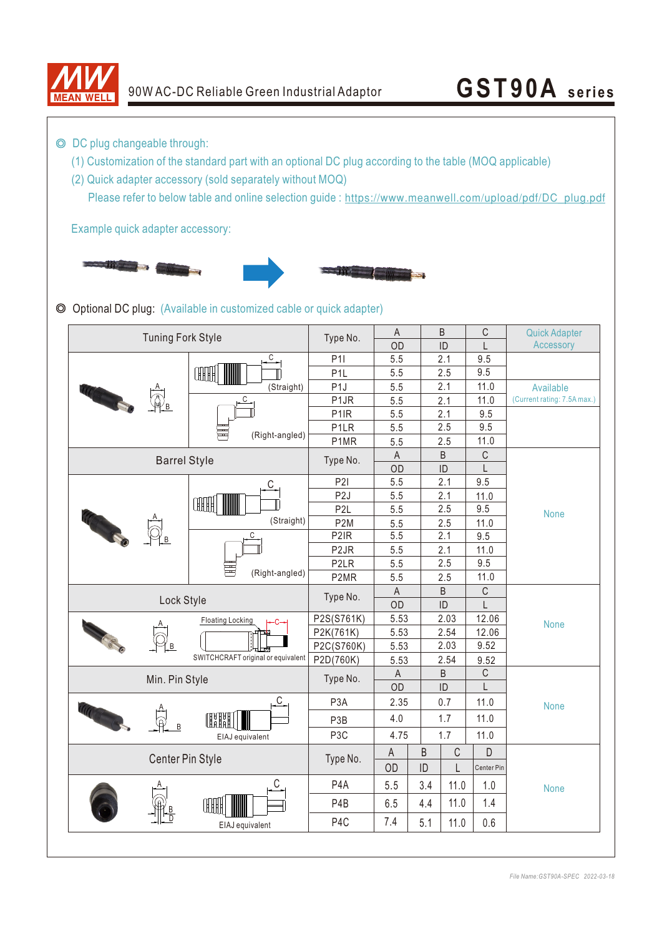

## 90W AC-DC Reliable Green Industrial Adaptor **GST90A** series

◎ DC plug changeable through:

- (1) Customization of the standard part with an optional DC plug according to the table (MOQ applicable)
- (2) Quick adapter accessory (sold separately without MOQ)

Please refer to below table and online selection guide : https://www.meanwell.com/upload/pdf/DC\_plug.pdf

Example quick adapter accessory:



◎ Optional DC plug: (Available in customized cable or quick adapter)

| <b>Tuning Fork Style</b>           |                         | Type No.          | $\mathsf A$ |         | $\sf B$     | $\mathsf C$ | <b>Quick Adapter</b>        |  |
|------------------------------------|-------------------------|-------------------|-------------|---------|-------------|-------------|-----------------------------|--|
|                                    |                         |                   | OD          |         | ID          | L           | Accessory                   |  |
|                                    | С<br>OOHH<br>(Straight) | P11               | 5.5         |         | 2.1         | 9.5         |                             |  |
|                                    |                         | P <sub>1</sub> L  | 5.5         |         | 2.5         | 9.5         |                             |  |
|                                    |                         | P <sub>1</sub>    | 5.5         |         | 2.1         | 11.0        | Available                   |  |
|                                    | C<br>(Right-angled)     | P <sub>1</sub> JR | 5.5         |         | 2.1         | 11.0        | (Current rating: 7.5A max.) |  |
|                                    |                         | P <sub>1</sub> IR | 5.5         |         | 2.1         | 9.5         |                             |  |
|                                    |                         | P <sub>1</sub> LR | 5.5         |         | 2.5         | 9.5         |                             |  |
|                                    |                         | P1MR              | 5.5         |         | 2.5         | 11.0        |                             |  |
| <b>Barrel Style</b>                | Type No.                | $\mathsf A$       |             | B       | C           |             |                             |  |
|                                    |                         | OD                |             | ID      | L           |             |                             |  |
|                                    | С                       | <b>P21</b>        | 5.5         |         | 2.1         | 9.5         |                             |  |
|                                    |                         | P <sub>2</sub> J  | 5.5         |         | 2.1         | 11.0        |                             |  |
|                                    | <b>CHIFFE</b>           | P <sub>2L</sub>   | 5.5         |         | 2.5         | 9.5         | None                        |  |
|                                    | (Straight)              | P <sub>2</sub> M  | 5.5         |         | 2.5         | 11.0        |                             |  |
|                                    | С<br>(Right-angled)     | P <sub>2</sub> IR | 5.5         |         | 2.1         | 9.5         |                             |  |
|                                    |                         | P <sub>2</sub> JR | 5.5         |         | 2.1         | 11.0        |                             |  |
|                                    |                         | P <sub>2</sub> LR | 5.5         |         | 2.5         | 9.5         |                             |  |
|                                    |                         | P2MR              | 5.5         |         | 2.5         | 11.0        |                             |  |
|                                    |                         | Type No.          | $\mathsf A$ |         | B           | C           |                             |  |
|                                    | Lock Style              |                   |             |         | ID<br>L     |             |                             |  |
|                                    | <b>Floating Locking</b> | P2S(S761K)        | 5.53        |         | 2.03        | 12.06       | None                        |  |
|                                    |                         | P2K(761K)         | 5.53        |         | 2.54        | 12.06       |                             |  |
| ĩв                                 |                         | P2C(S760K)        | 5.53        |         | 2.03        | 9.52        |                             |  |
| SWITCHCRAFT original or equivalent |                         | P2D(760K)         | 5.53        |         | 2.54        | 9.52        |                             |  |
| Min. Pin Style                     | Type No.                | A                 |             | B       | $\mathsf C$ |             |                             |  |
|                                    |                         | OD                |             | ID      | L           |             |                             |  |
|                                    | $\overline{C}$          | P <sub>3</sub> A  | 2.35        |         | 0.7         | 11.0        | <b>None</b>                 |  |
|                                    | H<br>珊                  | P <sub>3</sub> B  | 4.0         |         | 1.7         | 11.0        |                             |  |
|                                    | EIAJ equivalent         | P <sub>3</sub> C  | 4.75        |         | 1.7         | 11.0        |                             |  |
| Center Pin Style                   |                         | Type No.          | A           | $\sf B$ | $\mathsf C$ | D           |                             |  |
|                                    |                         |                   | OD          | ID      | L           | Center Pin  |                             |  |
|                                    | С                       | P <sub>4</sub> A  | 5.5         | 3.4     | 11.0        | 1.0         | <b>None</b>                 |  |
|                                    | ŒH<br>EIAJ equivalent   | P <sub>4</sub> B  | 6.5         | 4.4     | 11.0        | 1.4         |                             |  |
|                                    |                         | P <sub>4</sub> C  | 7.4         | 5.1     | 11.0        | 0.6         |                             |  |
|                                    |                         |                   |             |         |             |             |                             |  |